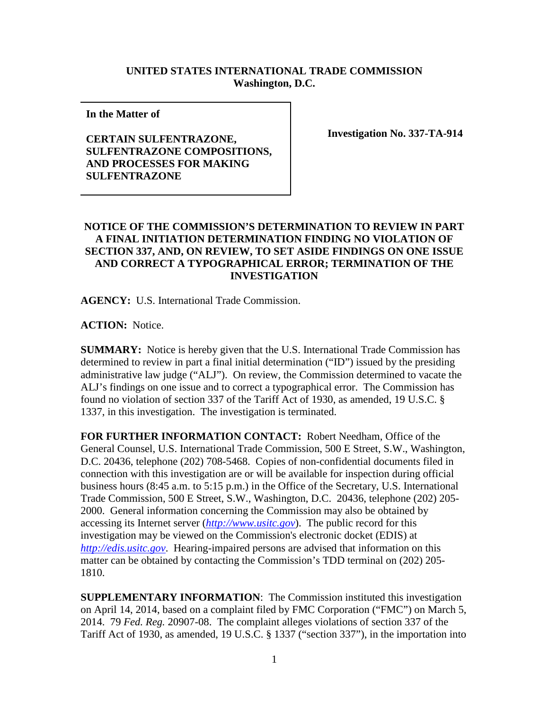## **UNITED STATES INTERNATIONAL TRADE COMMISSION Washington, D.C.**

**In the Matter of** 

**CERTAIN SULFENTRAZONE, SULFENTRAZONE COMPOSITIONS, AND PROCESSES FOR MAKING SULFENTRAZONE**

**Investigation No. 337-TA-914**

## **NOTICE OF THE COMMISSION'S DETERMINATION TO REVIEW IN PART A FINAL INITIATION DETERMINATION FINDING NO VIOLATION OF SECTION 337, AND, ON REVIEW, TO SET ASIDE FINDINGS ON ONE ISSUE AND CORRECT A TYPOGRAPHICAL ERROR; TERMINATION OF THE INVESTIGATION**

**AGENCY:** U.S. International Trade Commission.

**ACTION:** Notice.

**SUMMARY:** Notice is hereby given that the U.S. International Trade Commission has determined to review in part a final initial determination ("ID") issued by the presiding administrative law judge ("ALJ"). On review, the Commission determined to vacate the ALJ's findings on one issue and to correct a typographical error. The Commission has found no violation of section 337 of the Tariff Act of 1930, as amended, 19 U.S.C. § 1337, in this investigation. The investigation is terminated.

**FOR FURTHER INFORMATION CONTACT:** Robert Needham, Office of the General Counsel, U.S. International Trade Commission, 500 E Street, S.W., Washington, D.C. 20436, telephone (202) 708-5468. Copies of non-confidential documents filed in connection with this investigation are or will be available for inspection during official business hours (8:45 a.m. to 5:15 p.m.) in the Office of the Secretary, U.S. International Trade Commission, 500 E Street, S.W., Washington, D.C. 20436, telephone (202) 205- 2000. General information concerning the Commission may also be obtained by accessing its Internet server (*[http://www.usitc.gov](http://www.usitc.gov/)*). The public record for this investigation may be viewed on the Commission's electronic docket (EDIS) at *[http://edis.usitc.gov](http://edis.usitc.gov/)*. Hearing-impaired persons are advised that information on this matter can be obtained by contacting the Commission's TDD terminal on (202) 205- 1810.

**SUPPLEMENTARY INFORMATION**: The Commission instituted this investigation on April 14, 2014, based on a complaint filed by FMC Corporation ("FMC") on March 5, 2014. 79 *Fed. Reg.* 20907-08. The complaint alleges violations of section 337 of the Tariff Act of 1930, as amended, 19 U.S.C. § 1337 ("section 337"), in the importation into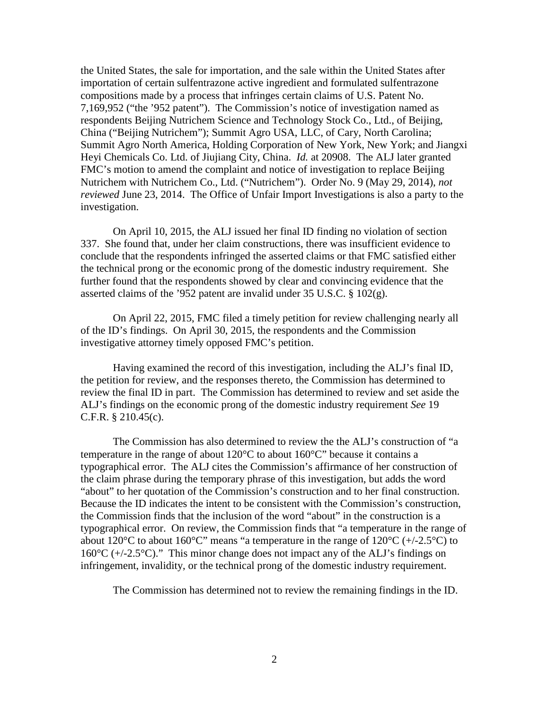the United States, the sale for importation, and the sale within the United States after importation of certain sulfentrazone active ingredient and formulated sulfentrazone compositions made by a process that infringes certain claims of U.S. Patent No. 7,169,952 ("the '952 patent"). The Commission's notice of investigation named as respondents Beijing Nutrichem Science and Technology Stock Co., Ltd., of Beijing, China ("Beijing Nutrichem"); Summit Agro USA, LLC, of Cary, North Carolina; Summit Agro North America, Holding Corporation of New York, New York; and Jiangxi Heyi Chemicals Co. Ltd. of Jiujiang City, China. *Id.* at 20908. The ALJ later granted FMC's motion to amend the complaint and notice of investigation to replace Beijing Nutrichem with Nutrichem Co., Ltd. ("Nutrichem"). Order No. 9 (May 29, 2014), *not reviewed* June 23, 2014. The Office of Unfair Import Investigations is also a party to the investigation.

On April 10, 2015, the ALJ issued her final ID finding no violation of section 337. She found that, under her claim constructions, there was insufficient evidence to conclude that the respondents infringed the asserted claims or that FMC satisfied either the technical prong or the economic prong of the domestic industry requirement. She further found that the respondents showed by clear and convincing evidence that the asserted claims of the '952 patent are invalid under 35 U.S.C. § 102(g).

On April 22, 2015, FMC filed a timely petition for review challenging nearly all of the ID's findings. On April 30, 2015, the respondents and the Commission investigative attorney timely opposed FMC's petition.

Having examined the record of this investigation, including the ALJ's final ID, the petition for review, and the responses thereto, the Commission has determined to review the final ID in part. The Commission has determined to review and set aside the ALJ's findings on the economic prong of the domestic industry requirement *See* 19 C.F.R. § 210.45(c).

The Commission has also determined to review the the ALJ's construction of "a temperature in the range of about  $120^{\circ}$ C to about  $160^{\circ}$ C" because it contains a typographical error. The ALJ cites the Commission's affirmance of her construction of the claim phrase during the temporary phrase of this investigation, but adds the word "about" to her quotation of the Commission's construction and to her final construction. Because the ID indicates the intent to be consistent with the Commission's construction, the Commission finds that the inclusion of the word "about" in the construction is a typographical error. On review, the Commission finds that "a temperature in the range of about 120 $\rm{^{\circ}C}$  to about 160 $\rm{^{\circ}C}$ " means "a temperature in the range of 120 $\rm{^{\circ}C}$  (+/-2.5 $\rm{^{\circ}C}$ ) to  $160^{\circ}$ C (+/-2.5 $^{\circ}$ C)." This minor change does not impact any of the ALJ's findings on infringement, invalidity, or the technical prong of the domestic industry requirement.

The Commission has determined not to review the remaining findings in the ID.